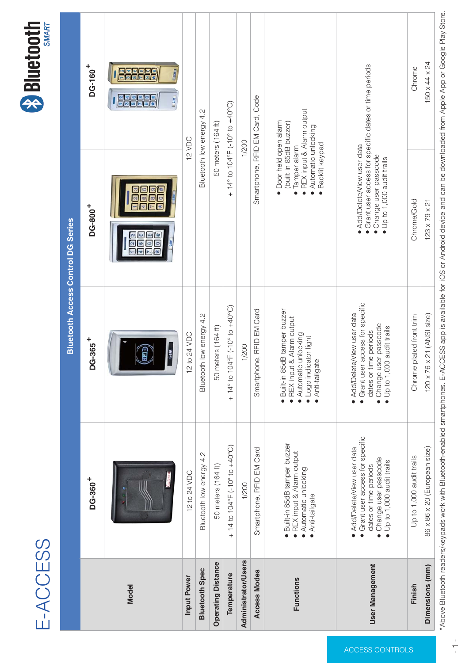# E-ACCESS 総合カタログ





|                     |                                                                      |                                                                                  | Bluetooth アクセスコントロール DG シリーズ                                            |                                                                                      |  |
|---------------------|----------------------------------------------------------------------|----------------------------------------------------------------------------------|-------------------------------------------------------------------------|--------------------------------------------------------------------------------------|--|
|                     | $DG-360+$                                                            | DG-365 <sup>+</sup>                                                              | $DG-800+$                                                               | DG-160 <sup>+</sup>                                                                  |  |
| モデル                 |                                                                      | RFID<br><b>GEM</b>                                                               | <u>  2 3</u><br>1 2 <br>56<br>456<br>89<br>* 0 #<br>$\star$ 0           | $\frac{1}{3}$ $\frac{2}{4}$ $\frac{3}{5}$ $\frac{4}{6}$<br>大司<br>$I$ or $n$<br>Louis |  |
| 入力電圧                | 12 to 24 VDC                                                         | 12 to 24 VDC                                                                     |                                                                         | 12 VDC                                                                               |  |
| <b>Bluetooth 仕様</b> | Bluetooth low energy 4.2                                             | Bluetooth low energy 4.2                                                         |                                                                         | Bluetooth low energy 4.2                                                             |  |
| オペレーティング距離          | 50 メートル (164 ft)                                                     | 50 メートル (164 ft)                                                                 |                                                                         | 50 メートル (164 ft)                                                                     |  |
| 使用温度                | + 14 to $104^{\circ}F$ (-10° to +40°C)                               | + 14 $\degree$ to 104 $\degree$ F (-10 $\degree$ to +40 $\degree$ C)             |                                                                         | + 14 $\degree$ to 104 $\degree$ F (-10 $\degree$ to +40 $\degree$ C)                 |  |
| 管理者・ユーザー            | 1/200                                                                | 1/200                                                                            | 1/200                                                                   |                                                                                      |  |
| アクセスモード             | スマートフォーン, RFID EM カード                                                | スマートフォーン, RFID EM カード                                                            | スマートフォーン, RFID EM カード、コード                                               |                                                                                      |  |
| 機能                  | ● 85dB 破壊 ブザー内蔵<br>● リクエスト退出入力+アラーム出力<br>• 自動解錠<br>● アンチ テイルゲイト      | • 85dB<br>$\qquad \qquad +$<br>$\bullet$                                         | ● ドアオープンアラーム<br>(85dB ブザー内蔵)<br>●破壊アラーム<br>• 自動解錠<br>•バックライトキーパッド       | ● リクエスト退出入力+アラーム出力                                                                   |  |
| ユーザー管理              | $\sqrt{a}$<br>$\bullet$ 8w<br>D<br>$\bullet$ W<br>$\bullet$ 1,000 wU | $\sqrt{a}$<br>$\bullet$<br>$\bullet$ 8w<br>$\Box$<br>$\bullet$ W<br>$\bullet$ wU | $\sqrt{a}$<br>$\bullet$<br>$\bullet$ 8wD<br>$\bullet$ W<br>$\bullet$ wU |                                                                                      |  |
| 仕上げ                 | Up to 1,000 audit trails                                             | Chrome plated front trim                                                         | Chrome/Gold                                                             | Chrome                                                                               |  |
| 寸法 (mm)             | 86 x 86 x 20 (European size)                                         | 120 x 76 x 21 (ANSI size)                                                        | $123 \times 79 \times 21$                                               | 150 x 44 x 24                                                                        |  |

\*Above Bluetooth readers/keypads work with Bluetooth-enabled smartphones. E-ACCESS app is available for iOS or Android device and can be downloaded from Apple App or Google Play Store.

ACCESS CONTROLS

ACCESS CONTROLS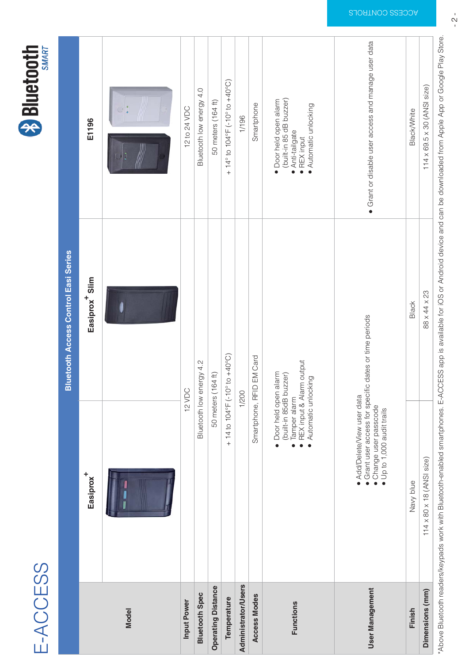#### E-ACCESS



|                            |                                                                                                                           | <b>Bluetooth Access Control Easi Series</b>                                           |                                                                                                                      |  |  |
|----------------------------|---------------------------------------------------------------------------------------------------------------------------|---------------------------------------------------------------------------------------|----------------------------------------------------------------------------------------------------------------------|--|--|
|                            | Easiprox <sup>+</sup>                                                                                                     | Easiprox <sup>+</sup> Slim                                                            | E1196                                                                                                                |  |  |
| <b>Model</b>               |                                                                                                                           | -                                                                                     |                                                                                                                      |  |  |
| <b>Input Power</b>         |                                                                                                                           | 12 VDC                                                                                |                                                                                                                      |  |  |
| <b>Bluetooth Spec</b>      |                                                                                                                           | Bluetooth low energy 4.2                                                              |                                                                                                                      |  |  |
| <b>Operating Distance</b>  |                                                                                                                           | 50 meters (164 ft)                                                                    |                                                                                                                      |  |  |
| Temperature                |                                                                                                                           | + 14 to $104^{\circ}F$ (-10° to +40°C)                                                |                                                                                                                      |  |  |
| <b>Administrator/Users</b> |                                                                                                                           | 1/200                                                                                 |                                                                                                                      |  |  |
| <b>Access Modes</b>        |                                                                                                                           | Smartphone, RFID EM Card                                                              | Smartphone                                                                                                           |  |  |
| <b>Functions</b>           | · Door held open alarm<br>(built-in 85dB buzzer)<br>• Tamper alarm<br>• REX input & Alarm output<br>• Automatic unlocking |                                                                                       | · Door held open alarm<br>(built-in 85 dB buzzer)<br>• Anti-tailgate<br>$\bullet$ REX input<br>• Automatic unlocking |  |  |
| <b>User Management</b>     | • Change user passcode<br>• Up to 1,000 audit trails                                                                      | · Add/Delete/View user data<br>• Grant user access for specific dates or time periods |                                                                                                                      |  |  |
| <b>Finish</b>              | Navy blue                                                                                                                 | <b>Black</b>                                                                          | <b>Black/White</b>                                                                                                   |  |  |
| <b>Dimensions (mm)</b>     | $114 \times 80 \times 18$ (ANSI size)                                                                                     | 88 x 44 x 23                                                                          | $114 \times 69.5 \times 30$ (ANSI size)                                                                              |  |  |

\*Above Bluetooth readers/keypads work with Bluetooth-enabled smartphones. E-ACCESS app is available for iOS or Android device and can be downloaded from Apple App or Google Play Store.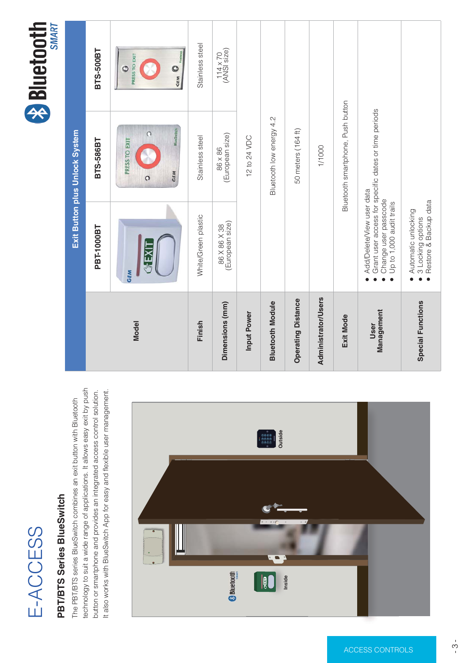# E-ACCESS



#### **PBT/BTS Series BlueSwitch**

The PBT/BTS series BlueSwitch combines an exit button with Bluetooth technology to suit a wide range of applications. It allows easy exit by push button or smartphone and provides an integrated access control solution. It also works with BlueSwitch App for easy and flexible user management.



| <b>Exit Button plus Unlock System</b> |                                                                                                                                               |                                                         |                                |  |  |  |  |
|---------------------------------------|-----------------------------------------------------------------------------------------------------------------------------------------------|---------------------------------------------------------|--------------------------------|--|--|--|--|
|                                       | <b>PBT-1000BT</b>                                                                                                                             | <b>BTS-586BT</b>                                        | <b>BTS-500BT</b>               |  |  |  |  |
| <b>Model</b>                          | <b>GEM</b><br><b>GEXI</b>                                                                                                                     | <b>PRESS TO EXIT</b><br><b>GEM</b><br><b>BlueSwitch</b> | o<br>PRESS TO EXIT<br>GEM O    |  |  |  |  |
| <b>Finish</b>                         | White/Green plastic                                                                                                                           | Stainless steel                                         | Stainless steel                |  |  |  |  |
| <b>Dimensions (mm)</b>                | 86 X 86 X 38<br>(European size)                                                                                                               | 86 x 86<br>(European size)                              | $114 \times 70$<br>(ANSI size) |  |  |  |  |
| <b>Input Power</b>                    | 12 to 24 VDC                                                                                                                                  |                                                         |                                |  |  |  |  |
| <b>Bluetooth Module</b>               | Bluetooth low energy 4.2                                                                                                                      |                                                         |                                |  |  |  |  |
| <b>Operating Distance</b>             |                                                                                                                                               | 50 meters (164 ft)                                      |                                |  |  |  |  |
| <b>Administrator/Users</b>            |                                                                                                                                               | 1/1000                                                  |                                |  |  |  |  |
| <b>Exit Mode</b>                      |                                                                                                                                               | Bluetooth smartphone, Push button                       |                                |  |  |  |  |
| <b>User</b><br><b>Management</b>      | • Add/Delete/View user data<br>• Grant user access for specific dates or time periods<br>• Change user passcode<br>• Up to 1,000 audit trails |                                                         |                                |  |  |  |  |
| <b>Special Functions</b>              | • Automatic unlocking<br>• 3 Locking options<br>• Restore & Backup data                                                                       |                                                         |                                |  |  |  |  |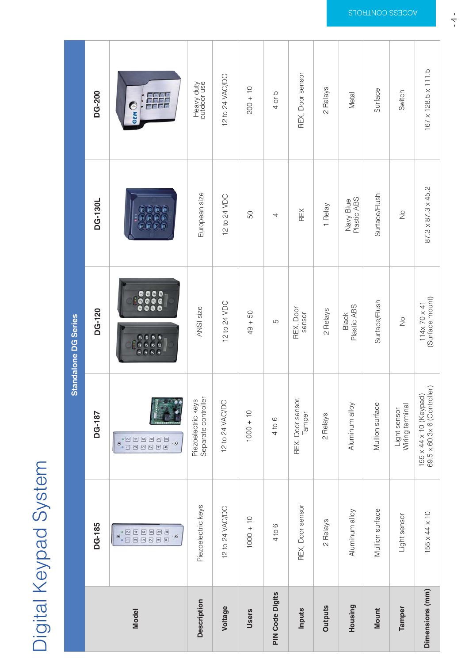# Digital Keypad System

|                        | <b>Standalone DG Series</b>                                                                                                                    |                                                                                                                                                                     |                                                                                                                                     |                                                                       |                                                                           |  |  |  |  |  |
|------------------------|------------------------------------------------------------------------------------------------------------------------------------------------|---------------------------------------------------------------------------------------------------------------------------------------------------------------------|-------------------------------------------------------------------------------------------------------------------------------------|-----------------------------------------------------------------------|---------------------------------------------------------------------------|--|--|--|--|--|
|                        | <b>DG-185</b>                                                                                                                                  | <b>DG-187</b>                                                                                                                                                       | <b>DG-120</b>                                                                                                                       | <b>DG-130L</b>                                                        | <b>DG-200</b>                                                             |  |  |  |  |  |
| <b>Model</b>           | $\circ$ <sup>e</sup><br><b>0</b> <sup>2</sup><br>34<br>56<br>28<br>$\boxed{\textbf{E}}$ $\boxed{\textbf{H}}$<br>$\stackrel{\circ}{\mathbb{C}}$ | $\begin{array}{c} \mathbf{e}\\ \mathbf{e}\\ \hline \mathbf{1} \end{array}$<br>$\boxed{3}$<br>$\boxed{5}$ $\boxed{6}$<br>$2B$<br>图图<br>$\overset{\circ}{\mathbf{e}}$ | $\sigma_{23}$<br>456<br>$\bullet\bullet\bullet$<br>789<br>$\bullet\bullet\bullet$<br>$\bullet$ 0 $\pi$<br>$\bullet \bullet \bullet$ | 0(2)<br>000<br>$\bullet$ $\bullet$ $\bullet$<br>$\Box$ $\odot$ $\Box$ | GEM <sup>O</sup><br>$\cdot$ $\cdot$ $\cdot$<br>na a<br>a a a a<br>a a a a |  |  |  |  |  |
| <b>Description</b>     | Piezoelectric keys                                                                                                                             | Piezoelectric keys<br>Separate controller                                                                                                                           | ANSI size                                                                                                                           | European size                                                         | Heavy duty<br>outdoor use                                                 |  |  |  |  |  |
| Voltage                | 12 to 24 VAC/DC                                                                                                                                | 12 to 24 VAC/DC                                                                                                                                                     | 12 to 24 VDC                                                                                                                        | 12 to 24 VDC                                                          | 12 to 24 VAC/DC                                                           |  |  |  |  |  |
| <b>Users</b>           | $1000 + 10$                                                                                                                                    | $1000 + 10$                                                                                                                                                         | $49 + 50$                                                                                                                           | 50                                                                    | $200 + 10$                                                                |  |  |  |  |  |
| <b>PIN Code Digits</b> | 4 to 6                                                                                                                                         | 4 to 6                                                                                                                                                              | 5                                                                                                                                   | $\overline{4}$                                                        | 4 or 5                                                                    |  |  |  |  |  |
| <b>Inputs</b>          | REX, Door sensor                                                                                                                               | REX, Door sensor,<br>Tamper                                                                                                                                         | REX, Door<br>sensor                                                                                                                 | <b>REX</b>                                                            | REX, Door sensor                                                          |  |  |  |  |  |
| <b>Outputs</b>         | 2 Relays                                                                                                                                       | 2 Relays                                                                                                                                                            | 2 Relays                                                                                                                            | 1 Relay                                                               | 2 Relays                                                                  |  |  |  |  |  |
| <b>Housing</b>         | Aluminum alloy                                                                                                                                 | Aluminum alloy                                                                                                                                                      | <b>Black</b><br>Plastic ABS                                                                                                         | Navy Blue<br>Plastic ABS                                              | Metal                                                                     |  |  |  |  |  |
| <b>Mount</b>           | Mullion surface                                                                                                                                | Mullion surface                                                                                                                                                     | Surface/Flush                                                                                                                       | Surface/Flush                                                         | Surface                                                                   |  |  |  |  |  |
| <b>Tamper</b>          | Light sensor                                                                                                                                   | Light sensor<br>Wiring terminal                                                                                                                                     | No                                                                                                                                  | No                                                                    | Switch                                                                    |  |  |  |  |  |
| <b>Dimensions (mm)</b> | 155 x 44 x 10                                                                                                                                  | 155 x 44 x 10 (Keypad)<br>69.5 x 60.3x 6 (Controller)                                                                                                               | 114x 70 x 41<br>(Surface mount)                                                                                                     | 87.3 x 87.3 x 45.2                                                    | 167 x 128.5 x 111.5                                                       |  |  |  |  |  |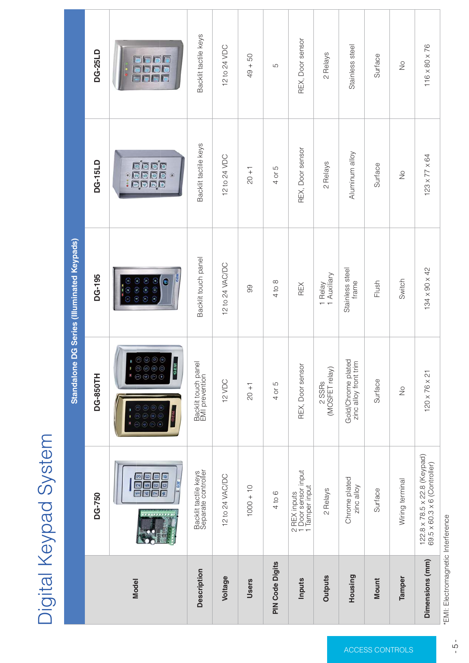# Digital Keypad System

|                        | <b>Standalone DG Series (Illuminated Keypads)</b>            |                                                                                                                      |                                                                                                                                |                                     |                                        |  |  |  |  |
|------------------------|--------------------------------------------------------------|----------------------------------------------------------------------------------------------------------------------|--------------------------------------------------------------------------------------------------------------------------------|-------------------------------------|----------------------------------------|--|--|--|--|
|                        | <b>DG-750</b>                                                | <b>DG-850TH</b>                                                                                                      | <b>DG-195</b>                                                                                                                  | <b>DG-15LD</b>                      | <b>DG-25LD</b>                         |  |  |  |  |
| <b>Model</b>           | 123<br>456<br>789<br>* 0 #<br><b>I</b> CEAT                  | $O$ $O$ $O$<br>$(2)$ $(3)$<br>$(5)$ $(6)$<br>4 5 6<br>$O$ $O$ $O$<br>$\circledast$ $\circledast$<br>GEM <sup>-</sup> | . ---<br>ග ශ<br>$\odot$ $\odot$ $\odot$<br>$\odot$ $\odot$ $\odot$<br>$\circledcirc$ $\circledcirc$<br>$\bullet$<br><b>GEM</b> | 000(0)<br>ooo<br>ooo<br>,ooo<br>ooo | <b>Carl Ga</b><br><b>TO 0</b><br>ala a |  |  |  |  |
| <b>Description</b>     | Backlit tactile keys<br>Separate controller                  | Backlit touch panel<br>EMI prevention                                                                                | Backlit touch panel                                                                                                            | Backlit tactile keys                | Backlit tactile keys                   |  |  |  |  |
| <b>Voltage</b>         | 12 to 24 VAC/DC                                              | 12 VDC                                                                                                               | 12 to 24 VAC/DC                                                                                                                | 12 to 24 VDC                        | 12 to 24 VDC                           |  |  |  |  |
| <b>Users</b>           | $1000 + 10$                                                  | $20 + 1$                                                                                                             | 99                                                                                                                             | $20 + 1$                            | $49 + 50$                              |  |  |  |  |
| <b>PIN Code Digits</b> | 4 to 6                                                       | 4 or 5                                                                                                               | 4 to 8                                                                                                                         | 4 or 5                              | 5                                      |  |  |  |  |
| <b>Inputs</b>          | 2 REX inputs<br>1 Door sensor input<br>1 Tamper input        | REX, Door sensor                                                                                                     | <b>REX</b>                                                                                                                     | REX, Door sensor                    | REX, Door sensor                       |  |  |  |  |
| <b>Outputs</b>         | 2 Relays                                                     | 2 SSRs<br>(MOSFET relay)                                                                                             | 1 Relay<br>1 Auxiliary                                                                                                         | 2 Relays                            | 2 Relays                               |  |  |  |  |
| <b>Housing</b>         | Chrome plated<br>zinc alloy                                  | Gold/Chrome plated<br>zinc alloy front trim                                                                          | Stainless steel<br>frame                                                                                                       | Aluminum alloy                      | Stainless steel                        |  |  |  |  |
| <b>Mount</b>           | Surface                                                      | Surface                                                                                                              | Flush                                                                                                                          | Surface                             | Surface                                |  |  |  |  |
| <b>Tamper</b>          | Wiring terminal                                              | No                                                                                                                   | Switch                                                                                                                         | No                                  | No                                     |  |  |  |  |
| Dimensions (mm)        | 122.8 x 78.5 x 22.8 (Keypad)<br>69.5 x 60.3 x 6 (Controller) | 120 x 76 x 21                                                                                                        | 134 x 90 x 42                                                                                                                  | 123 x 77 x 64                       | 116 x 80 x 76                          |  |  |  |  |

\*EMI: Electromagnetic Interference

ACCESS CONTROLS

ACCESS CONTROLS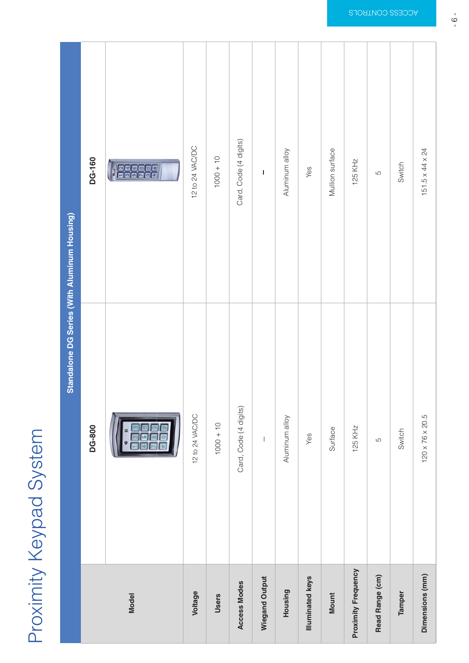# Proximity Keypad System

|                            | <b>Standalone DG Series (With Aluminum Housing)</b> |                       |  |  |  |  |
|----------------------------|-----------------------------------------------------|-----------------------|--|--|--|--|
|                            | <b>DG-800</b>                                       | <b>DG-160</b>         |  |  |  |  |
| <b>Model</b>               |                                                     | <b>Telagely</b><br>天团 |  |  |  |  |
| Voltage                    | 12 to 24 VAC/DC                                     | 12 to 24 VAC/DC       |  |  |  |  |
| <b>Users</b>               | $1000 + 10$                                         | $1000 + 10$           |  |  |  |  |
| <b>Access Modes</b>        | Card, Code (4 digits)                               | Card, Code (4 digits) |  |  |  |  |
| <b>Wiegand Output</b>      | $\overline{\phantom{0}}$                            | $\equiv$              |  |  |  |  |
| <b>Housing</b>             | Aluminum alloy                                      | Aluminum alloy        |  |  |  |  |
| <b>Illuminated keys</b>    | Yes                                                 | Yes                   |  |  |  |  |
| <b>Mount</b>               | Surface                                             | Mullion surface       |  |  |  |  |
| <b>Proximity Frequency</b> | <b>125 KHz</b>                                      | <b>125 KHz</b>        |  |  |  |  |
| <b>Read Range (cm)</b>     | 5                                                   | $\mathbf 5$           |  |  |  |  |
| <b>Tamper</b>              | Switch                                              | Switch                |  |  |  |  |
| <b>Dimensions (mm)</b>     | 120 x 76 x 20.5                                     | 151.5 x 44 x 24       |  |  |  |  |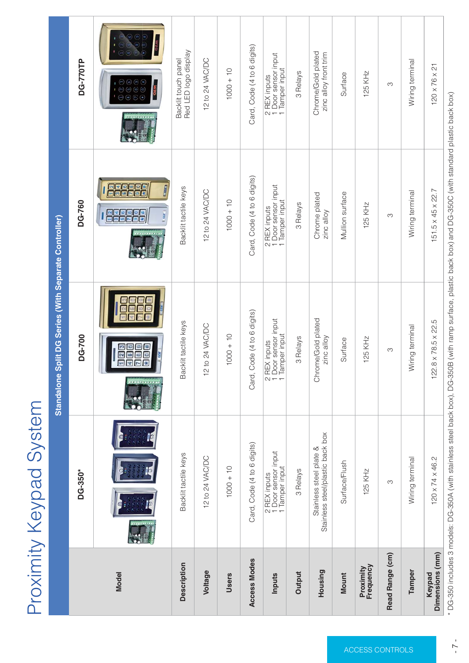# Proximity Keypad System

| <b>Standalone Split DG Series (With Separate Controller)</b> |                                                             |                                                       |                                                       |                                                                                    |  |  |  |
|--------------------------------------------------------------|-------------------------------------------------------------|-------------------------------------------------------|-------------------------------------------------------|------------------------------------------------------------------------------------|--|--|--|
|                                                              | DG-350*                                                     | <b>DG-700</b>                                         | <b>DG-760</b>                                         | <b>DG-770TP</b>                                                                    |  |  |  |
| <b>Model</b>                                                 |                                                             | $1\overline{2}3$<br>456<br>789<br>$* 0 $              | 13468793<br>$\frac{7}{9}$ $\boxed{8}$<br>$\mathbf{r}$ | $(2)$ $(3)$<br>(4)(5)(6)<br>$(8)$ $(9)$<br>$*$ (0) (#)<br><b>GEM</b><br><b>GEM</b> |  |  |  |
| <b>Description</b>                                           | Backlit tactile keys                                        | Backlit tactile keys                                  | Backlit tactile keys                                  | Backlit touch panel<br>Red LED logo display                                        |  |  |  |
| Voltage                                                      | 12 to 24 VAC/DC                                             | 12 to 24 VAC/DC                                       | 12 to 24 VAC/DC                                       | 12 to 24 VAC/DC                                                                    |  |  |  |
| <b>Users</b>                                                 | $1000 + 10$                                                 | $1000 + 10$                                           | $1000 + 10$                                           | $1000 + 10$                                                                        |  |  |  |
| <b>Access Modes</b>                                          | Card, Code (4 to 6 digits)                                  | Card, Code (4 to 6 digits)                            | Card, Code (4 to 6 digits)                            | Card, Code (4 to 6 digits)                                                         |  |  |  |
| <b>Inputs</b>                                                | 2 REX inputs<br>1 Door sensor input<br>1 Tamper input       | 2 REX inputs<br>1 Door sensor input<br>1 Tamper input | 2 REX inputs<br>1 Door sensor input<br>1 Tamper input | 2 REX inputs<br>1 Door sensor input<br>1 Tamper input                              |  |  |  |
| <b>Output</b>                                                | 3 Relays                                                    | 3 Relays                                              | 3 Relays                                              | 3 Relays                                                                           |  |  |  |
| <b>Housing</b>                                               | Stainless steel plate &<br>Stainless steel/plastic back box | Chrome/Gold plated<br>zinc alloy                      | Chrome plated<br>zinc alloy                           | Chrome/Gold plated<br>zinc alloy front trim                                        |  |  |  |
| <b>Mount</b>                                                 | Surface/Flush                                               | Surface                                               | Mullion surface                                       | Surface                                                                            |  |  |  |
| <b>Proximity</b><br>Frequency                                | <b>125 KHz</b>                                              | <b>125 KHz</b>                                        | <b>125 KHz</b>                                        | <b>125 KHz</b>                                                                     |  |  |  |
| <b>Read Range (cm)</b>                                       | 3                                                           | 3                                                     | 3                                                     | $\mathfrak 3$                                                                      |  |  |  |
| <b>Tamper</b>                                                | Wiring terminal                                             | Wiring terminal                                       | Wiring terminal                                       | Wiring terminal                                                                    |  |  |  |
| <b>Keypad</b><br><b>Dimensions (mm)</b>                      | $120 \times 74 \times 46.2$                                 | $122.8 \times 78.5 \times 22.5$                       | $151.5 \times 45 \times 22.7$                         | $120 \times 76 \times 21$                                                          |  |  |  |

\* DG-350 includes 3 models: DG-350A (with stainless steel back box), DG-350B (with ramp surface, plastic back box) and DG-350C (with standard plastic back box)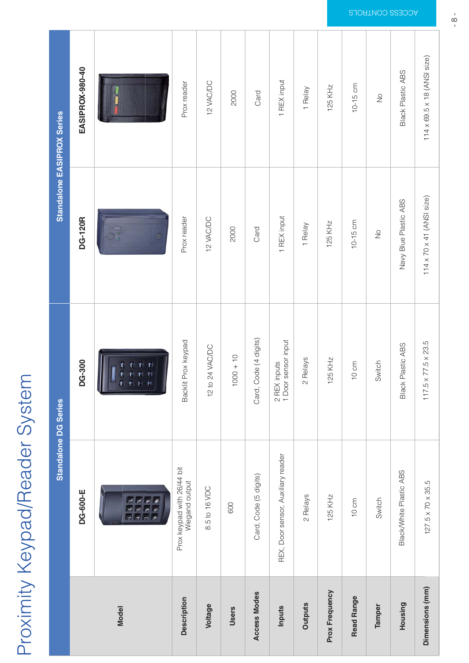# Proximity Keypad/Reader System

|                        | <b>Standalone DG Series</b>                       | <b>Standalone EASIPROX Series</b>                                    |                                       |                                   |
|------------------------|---------------------------------------------------|----------------------------------------------------------------------|---------------------------------------|-----------------------------------|
|                        | <b>DG-600-E</b>                                   | <b>DG-300</b>                                                        | <b>DG-120R</b>                        | EASIPROX-980-40                   |
| <b>Model</b>           | <u>ग राज</u><br>437<br>757<br>$\ast$<br>$10 - 11$ | 77.7<br>$-$<br>$\rightarrow$<br>$\frac{1}{2}$<br>Ħ.<br>$\frac{1}{2}$ | $\frac{1}{2}$<br>m.                   | <b>District Contract Contract</b> |
| <b>Description</b>     | Prox keypad with 26/44 bit<br>Wiegand output      | Backlit Prox keypad                                                  | Prox reader                           | Prox reader                       |
| <b>Voltage</b>         | 8.5 to 16 VDC                                     | 12 to 24 VAC/DC                                                      | 12 VAC/DC                             | 12 VAC/DC                         |
| <b>Users</b>           | 600                                               | $1000 + 10$                                                          | 2000                                  | 2000                              |
| <b>Access Modes</b>    | Card, Code (5 digits)                             | Card, Code (4 digits)                                                | Card                                  | Card                              |
| <b>Inputs</b>          | REX, Door sensor, Auxiliary reader                | 2 REX inputs<br>1 Door sensor input                                  | 1 REX input                           | 1 REX input                       |
| <b>Outputs</b>         | 2 Relays                                          | 2 Relays                                                             | 1 Relay                               | 1 Relay                           |
| <b>Prox Frequency</b>  | <b>125 KHz</b>                                    | <b>125 KHz</b>                                                       | <b>125 KHz</b>                        | <b>125 KHz</b>                    |
| <b>Read Range</b>      | $10 \text{ cm}$                                   | 10 cm                                                                | 10-15 cm                              | 10-15 cm                          |
| <b>Tamper</b>          | Switch                                            | Switch                                                               | <b>No</b>                             | No                                |
| <b>Housing</b>         | <b>Black/White Plastic ABS</b>                    | <b>Black Plastic ABS</b>                                             | Navy Blue Plastic ABS                 | <b>Black Plastic ABS</b>          |
| <b>Dimensions (mm)</b> | 127.5 x 70 x 35.5                                 | 117.5 x 77.5 x 23.5                                                  | $114 \times 70 \times 41$ (ANSI size) | 114 x 69.5 x 18 (ANSI size)       |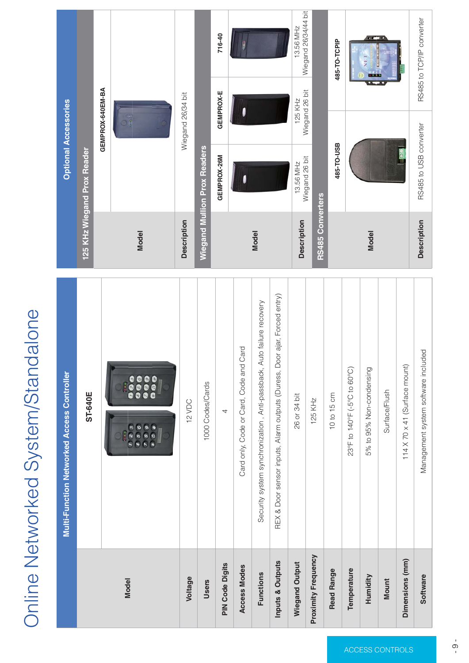# Online Networked System/Standalone

|                             | <b>Multi-Function Networked Access Controller</b>                                                                           |                             |                                     | <b>Optional Accessories</b>      |                                   |  |
|-----------------------------|-----------------------------------------------------------------------------------------------------------------------------|-----------------------------|-------------------------------------|----------------------------------|-----------------------------------|--|
|                             | <b>ST-640E</b>                                                                                                              | 125 KHz Wiegand Prox Reader |                                     |                                  |                                   |  |
|                             |                                                                                                                             |                             |                                     | GEMPROX-640EM-BA                 |                                   |  |
| <b>Model</b>                | $\begin{array}{c} 0.014 \end{array}$<br><b>SEC</b><br>D(23)<br>999<br>$\bullet$<br>456<br>999<br>789<br>$* 0 $<br>$\bullet$ | <b>Model</b>                |                                     | $\frac{\circ}{\cdot}$            |                                   |  |
| <b>Voltage</b>              | <b>Description</b><br>12 VDC                                                                                                |                             |                                     | Wiegand 26/34 bit                |                                   |  |
| <b>Users</b>                | 1000 Codes/Cards                                                                                                            |                             | <b>Wiegand Mullion Prox Readers</b> |                                  |                                   |  |
| <b>PIN Code Digits</b>      | $\overline{4}$                                                                                                              |                             | GEMPROX-26M                         | <b>GEMPROX-E</b>                 | 716-40                            |  |
| <b>Access Modes</b>         | Card only, Code or Card, Code and Card                                                                                      |                             | $\bullet$                           |                                  | <b>COL</b>                        |  |
| <b>Functions</b>            | Security system synchronization, Anti-passback, Auto failure recovery                                                       | <b>Model</b>                |                                     |                                  |                                   |  |
| <b>Inputs &amp; Outputs</b> | REX & Door sensor inputs, Alarm outputs (Duress, Door ajar, Forced entry)                                                   |                             |                                     |                                  |                                   |  |
| <b>Wiegand Output</b>       | 26 or 34 bit                                                                                                                | <b>Description</b>          | 13.56 MHz<br>Wiegand 26 bit         | <b>125 KHz</b><br>Wiegand 26 bit | 13.56 MHz<br>Wiegand 26/34/44 bit |  |
| <b>Proximity Frequency</b>  | <b>125 KHz</b>                                                                                                              | <b>RS485 Converters</b>     |                                     |                                  |                                   |  |
| <b>Read Range</b>           | 10 to 15 cm                                                                                                                 |                             | <b>485-TO-USB</b>                   |                                  | 485-TO-TCPIP                      |  |
| <b>Temperature</b>          | 23°F to 140°F (-5°C to 60°C)                                                                                                |                             |                                     |                                  |                                   |  |
| <b>Humidity</b>             | 5% to 95% Non-condensing                                                                                                    | <b>Model</b>                |                                     |                                  |                                   |  |
| <b>Mount</b>                | Surface/Flush                                                                                                               |                             |                                     |                                  |                                   |  |
| <b>Dimensions (mm)</b>      | 114 X 70 x 41 (Surface mount)                                                                                               |                             |                                     |                                  |                                   |  |
| <b>Software</b>             | Management system software included                                                                                         | <b>Description</b>          | RS485 to USB converter              |                                  | RS485 to TCP/IP converter         |  |

ACCESS CONTROLS

ACCESS CONTROLS